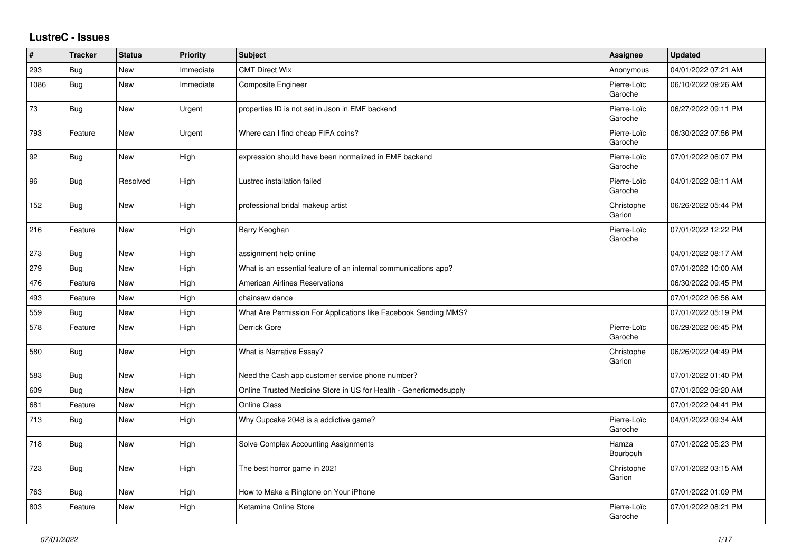## **LustreC - Issues**

| #    | <b>Tracker</b> | <b>Status</b> | <b>Priority</b> | <b>Subject</b>                                                    | <b>Assignee</b>        | <b>Updated</b>      |
|------|----------------|---------------|-----------------|-------------------------------------------------------------------|------------------------|---------------------|
| 293  | Bug            | <b>New</b>    | Immediate       | <b>CMT Direct Wix</b>                                             | Anonymous              | 04/01/2022 07:21 AM |
| 1086 | Bug            | <b>New</b>    | Immediate       | Composite Engineer                                                | Pierre-Loïc<br>Garoche | 06/10/2022 09:26 AM |
| 73   | Bug            | New           | Urgent          | properties ID is not set in Json in EMF backend                   | Pierre-Loïc<br>Garoche | 06/27/2022 09:11 PM |
| 793  | Feature        | New           | Urgent          | Where can I find cheap FIFA coins?                                | Pierre-Loïc<br>Garoche | 06/30/2022 07:56 PM |
| 92   | Bug            | New           | High            | expression should have been normalized in EMF backend             | Pierre-Loïc<br>Garoche | 07/01/2022 06:07 PM |
| 96   | Bug            | Resolved      | High            | Lustrec installation failed                                       | Pierre-Loïc<br>Garoche | 04/01/2022 08:11 AM |
| 152  | <b>Bug</b>     | New           | High            | professional bridal makeup artist                                 | Christophe<br>Garion   | 06/26/2022 05:44 PM |
| 216  | Feature        | New           | High            | Barry Keoghan                                                     | Pierre-Loïc<br>Garoche | 07/01/2022 12:22 PM |
| 273  | Bug            | New           | High            | assignment help online                                            |                        | 04/01/2022 08:17 AM |
| 279  | <b>Bug</b>     | New           | High            | What is an essential feature of an internal communications app?   |                        | 07/01/2022 10:00 AM |
| 476  | Feature        | New           | High            | American Airlines Reservations                                    |                        | 06/30/2022 09:45 PM |
| 493  | Feature        | <b>New</b>    | High            | chainsaw dance                                                    |                        | 07/01/2022 06:56 AM |
| 559  | Bug            | <b>New</b>    | High            | What Are Permission For Applications like Facebook Sending MMS?   |                        | 07/01/2022 05:19 PM |
| 578  | Feature        | New           | High            | Derrick Gore                                                      | Pierre-Loïc<br>Garoche | 06/29/2022 06:45 PM |
| 580  | Bug            | New           | High            | What is Narrative Essay?                                          | Christophe<br>Garion   | 06/26/2022 04:49 PM |
| 583  | Bug            | <b>New</b>    | High            | Need the Cash app customer service phone number?                  |                        | 07/01/2022 01:40 PM |
| 609  | <b>Bug</b>     | New           | High            | Online Trusted Medicine Store in US for Health - Genericmedsupply |                        | 07/01/2022 09:20 AM |
| 681  | Feature        | New           | High            | <b>Online Class</b>                                               |                        | 07/01/2022 04:41 PM |
| 713  | Bug            | <b>New</b>    | High            | Why Cupcake 2048 is a addictive game?                             | Pierre-Loïc<br>Garoche | 04/01/2022 09:34 AM |
| 718  | <b>Bug</b>     | <b>New</b>    | High            | Solve Complex Accounting Assignments                              | Hamza<br>Bourbouh      | 07/01/2022 05:23 PM |
| 723  | Bug            | New           | High            | The best horror game in 2021                                      | Christophe<br>Garion   | 07/01/2022 03:15 AM |
| 763  | Bug            | <b>New</b>    | High            | How to Make a Ringtone on Your iPhone                             |                        | 07/01/2022 01:09 PM |
| 803  | Feature        | <b>New</b>    | High            | Ketamine Online Store                                             | Pierre-Loïc<br>Garoche | 07/01/2022 08:21 PM |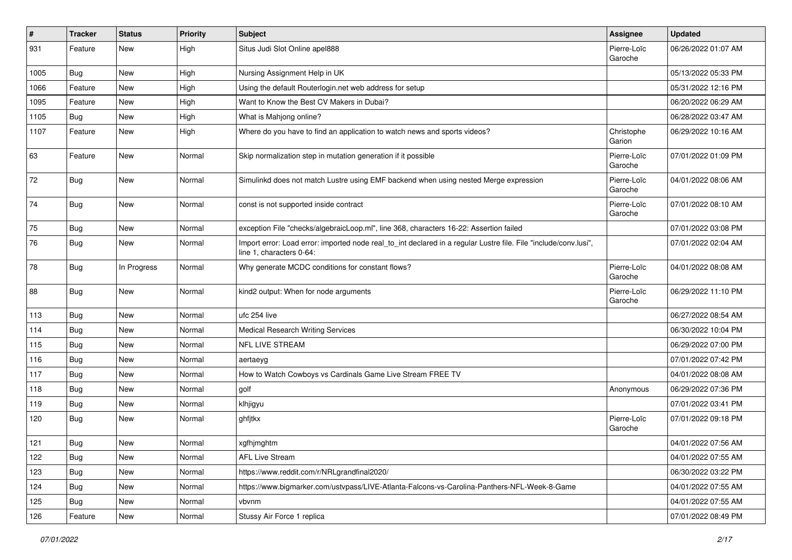| #    | <b>Tracker</b> | <b>Status</b> | <b>Priority</b> | Subject                                                                                                                                      | <b>Assignee</b>        | <b>Updated</b>      |
|------|----------------|---------------|-----------------|----------------------------------------------------------------------------------------------------------------------------------------------|------------------------|---------------------|
| 931  | Feature        | New           | High            | Situs Judi Slot Online apel888                                                                                                               | Pierre-Loïc<br>Garoche | 06/26/2022 01:07 AM |
| 1005 | Bug            | New           | High            | Nursing Assignment Help in UK                                                                                                                |                        | 05/13/2022 05:33 PM |
| 1066 | Feature        | New           | High            | Using the default Routerlogin.net web address for setup                                                                                      |                        | 05/31/2022 12:16 PM |
| 1095 | Feature        | New           | High            | Want to Know the Best CV Makers in Dubai?                                                                                                    |                        | 06/20/2022 06:29 AM |
| 1105 | <b>Bug</b>     | New           | High            | What is Mahjong online?                                                                                                                      |                        | 06/28/2022 03:47 AM |
| 1107 | Feature        | New           | High            | Where do you have to find an application to watch news and sports videos?                                                                    | Christophe<br>Garion   | 06/29/2022 10:16 AM |
| 63   | Feature        | New           | Normal          | Skip normalization step in mutation generation if it possible                                                                                | Pierre-Loïc<br>Garoche | 07/01/2022 01:09 PM |
| 72   | <b>Bug</b>     | New           | Normal          | Simulinkd does not match Lustre using EMF backend when using nested Merge expression                                                         | Pierre-Loïc<br>Garoche | 04/01/2022 08:06 AM |
| 74   | Bug            | New           | Normal          | const is not supported inside contract                                                                                                       | Pierre-Loïc<br>Garoche | 07/01/2022 08:10 AM |
| 75   | Bug            | New           | Normal          | exception File "checks/algebraicLoop.ml", line 368, characters 16-22: Assertion failed                                                       |                        | 07/01/2022 03:08 PM |
| 76   | <b>Bug</b>     | New           | Normal          | Import error: Load error: imported node real_to_int declared in a regular Lustre file. File "include/conv.lusi",<br>line 1, characters 0-64: |                        | 07/01/2022 02:04 AM |
| 78   | <b>Bug</b>     | In Progress   | Normal          | Why generate MCDC conditions for constant flows?                                                                                             | Pierre-Loïc<br>Garoche | 04/01/2022 08:08 AM |
| 88   | Bug            | New           | Normal          | kind2 output: When for node arguments                                                                                                        | Pierre-Loïc<br>Garoche | 06/29/2022 11:10 PM |
| 113  | Bug            | New           | Normal          | ufc 254 live                                                                                                                                 |                        | 06/27/2022 08:54 AM |
| 114  | Bug            | New           | Normal          | <b>Medical Research Writing Services</b>                                                                                                     |                        | 06/30/2022 10:04 PM |
| 115  | Bug            | New           | Normal          | NFL LIVE STREAM                                                                                                                              |                        | 06/29/2022 07:00 PM |
| 116  | Bug            | New           | Normal          | aertaeyg                                                                                                                                     |                        | 07/01/2022 07:42 PM |
| 117  | Bug            | New           | Normal          | How to Watch Cowboys vs Cardinals Game Live Stream FREE TV                                                                                   |                        | 04/01/2022 08:08 AM |
| 118  | <b>Bug</b>     | New           | Normal          | golf                                                                                                                                         | Anonymous              | 06/29/2022 07:36 PM |
| 119  | <b>Bug</b>     | New           | Normal          | klhjigyu                                                                                                                                     |                        | 07/01/2022 03:41 PM |
| 120  | <b>Bug</b>     | New           | Normal          | ghfjtkx                                                                                                                                      | Pierre-Loïc<br>Garoche | 07/01/2022 09:18 PM |
| 121  | Bug            | New           | Normal          | xgfhjmghtm                                                                                                                                   |                        | 04/01/2022 07:56 AM |
| 122  | Bug            | New           | Normal          | <b>AFL Live Stream</b>                                                                                                                       |                        | 04/01/2022 07:55 AM |
| 123  | Bug            | New           | Normal          | https://www.reddit.com/r/NRLgrandfinal2020/                                                                                                  |                        | 06/30/2022 03:22 PM |
| 124  | <b>Bug</b>     | New           | Normal          | https://www.bigmarker.com/ustvpass/LIVE-Atlanta-Falcons-vs-Carolina-Panthers-NFL-Week-8-Game                                                 |                        | 04/01/2022 07:55 AM |
| 125  | Bug            | New           | Normal          | vbvnm                                                                                                                                        |                        | 04/01/2022 07:55 AM |
| 126  | Feature        | New           | Normal          | Stussy Air Force 1 replica                                                                                                                   |                        | 07/01/2022 08:49 PM |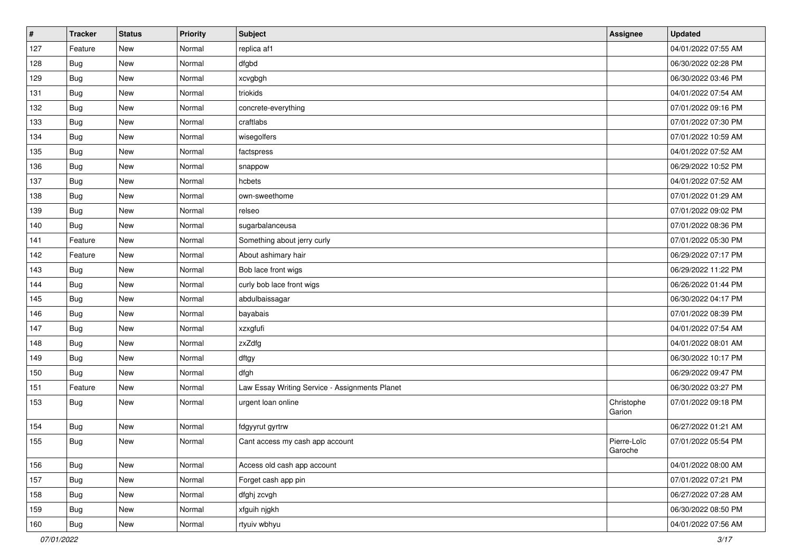| $\vert$ # | <b>Tracker</b> | <b>Status</b> | <b>Priority</b> | <b>Subject</b>                                 | Assignee               | <b>Updated</b>      |
|-----------|----------------|---------------|-----------------|------------------------------------------------|------------------------|---------------------|
| 127       | Feature        | New           | Normal          | replica af1                                    |                        | 04/01/2022 07:55 AM |
| 128       | Bug            | New           | Normal          | dfgbd                                          |                        | 06/30/2022 02:28 PM |
| 129       | Bug            | New           | Normal          | xcvgbgh                                        |                        | 06/30/2022 03:46 PM |
| 131       | <b>Bug</b>     | New           | Normal          | triokids                                       |                        | 04/01/2022 07:54 AM |
| 132       | <b>Bug</b>     | New           | Normal          | concrete-everything                            |                        | 07/01/2022 09:16 PM |
| 133       | Bug            | New           | Normal          | craftlabs                                      |                        | 07/01/2022 07:30 PM |
| 134       | Bug            | New           | Normal          | wisegolfers                                    |                        | 07/01/2022 10:59 AM |
| 135       | Bug            | New           | Normal          | factspress                                     |                        | 04/01/2022 07:52 AM |
| 136       | Bug            | New           | Normal          | snappow                                        |                        | 06/29/2022 10:52 PM |
| 137       | <b>Bug</b>     | New           | Normal          | hcbets                                         |                        | 04/01/2022 07:52 AM |
| 138       | Bug            | New           | Normal          | own-sweethome                                  |                        | 07/01/2022 01:29 AM |
| 139       | Bug            | New           | Normal          | relseo                                         |                        | 07/01/2022 09:02 PM |
| 140       | Bug            | New           | Normal          | sugarbalanceusa                                |                        | 07/01/2022 08:36 PM |
| 141       | Feature        | New           | Normal          | Something about jerry curly                    |                        | 07/01/2022 05:30 PM |
| 142       | Feature        | New           | Normal          | About ashimary hair                            |                        | 06/29/2022 07:17 PM |
| 143       | Bug            | New           | Normal          | Bob lace front wigs                            |                        | 06/29/2022 11:22 PM |
| 144       | Bug            | New           | Normal          | curly bob lace front wigs                      |                        | 06/26/2022 01:44 PM |
| 145       | Bug            | New           | Normal          | abdulbaissagar                                 |                        | 06/30/2022 04:17 PM |
| 146       | <b>Bug</b>     | New           | Normal          | bayabais                                       |                        | 07/01/2022 08:39 PM |
| 147       | Bug            | New           | Normal          | xzxgfufi                                       |                        | 04/01/2022 07:54 AM |
| 148       | Bug            | New           | Normal          | zxZdfg                                         |                        | 04/01/2022 08:01 AM |
| 149       | Bug            | New           | Normal          | dftgy                                          |                        | 06/30/2022 10:17 PM |
| 150       | Bug            | New           | Normal          | dfgh                                           |                        | 06/29/2022 09:47 PM |
| 151       | Feature        | New           | Normal          | Law Essay Writing Service - Assignments Planet |                        | 06/30/2022 03:27 PM |
| 153       | Bug            | New           | Normal          | urgent loan online                             | Christophe<br>Garion   | 07/01/2022 09:18 PM |
| 154       | <b>Bug</b>     | New           | Normal          | fdgyyrut gyrtrw                                |                        | 06/27/2022 01:21 AM |
| 155       | Bug            | New           | Normal          | Cant access my cash app account                | Pierre-Loïc<br>Garoche | 07/01/2022 05:54 PM |
| 156       | <b>Bug</b>     | New           | Normal          | Access old cash app account                    |                        | 04/01/2022 08:00 AM |
| 157       | <b>Bug</b>     | New           | Normal          | Forget cash app pin                            |                        | 07/01/2022 07:21 PM |
| 158       | <b>Bug</b>     | New           | Normal          | dfghj zcvgh                                    |                        | 06/27/2022 07:28 AM |
| 159       | <b>Bug</b>     | New           | Normal          | xfguih njgkh                                   |                        | 06/30/2022 08:50 PM |
| 160       | <b>Bug</b>     | New           | Normal          | rtyuiv wbhyu                                   |                        | 04/01/2022 07:56 AM |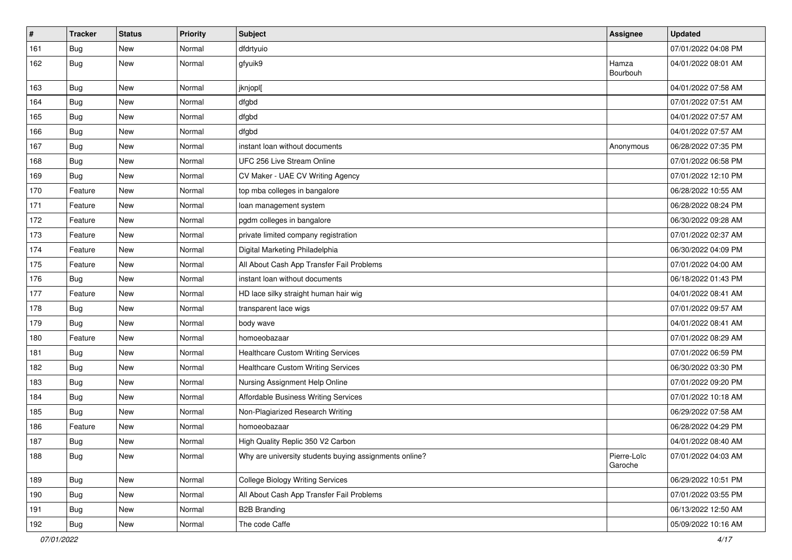| $\vert$ # | <b>Tracker</b> | <b>Status</b> | <b>Priority</b> | <b>Subject</b>                                         | <b>Assignee</b>        | <b>Updated</b>      |
|-----------|----------------|---------------|-----------------|--------------------------------------------------------|------------------------|---------------------|
| 161       | <b>Bug</b>     | New           | Normal          | dfdrtyuio                                              |                        | 07/01/2022 04:08 PM |
| 162       | Bug            | New           | Normal          | gfyuik9                                                | Hamza<br>Bourbouh      | 04/01/2022 08:01 AM |
| 163       | Bug            | New           | Normal          | jknjopl[                                               |                        | 04/01/2022 07:58 AM |
| 164       | Bug            | New           | Normal          | dfgbd                                                  |                        | 07/01/2022 07:51 AM |
| 165       | Bug            | New           | Normal          | dfgbd                                                  |                        | 04/01/2022 07:57 AM |
| 166       | Bug            | New           | Normal          | dfgbd                                                  |                        | 04/01/2022 07:57 AM |
| 167       | Bug            | New           | Normal          | instant loan without documents                         | Anonymous              | 06/28/2022 07:35 PM |
| 168       | Bug            | New           | Normal          | UFC 256 Live Stream Online                             |                        | 07/01/2022 06:58 PM |
| 169       | Bug            | New           | Normal          | CV Maker - UAE CV Writing Agency                       |                        | 07/01/2022 12:10 PM |
| 170       | Feature        | New           | Normal          | top mba colleges in bangalore                          |                        | 06/28/2022 10:55 AM |
| 171       | Feature        | New           | Normal          | loan management system                                 |                        | 06/28/2022 08:24 PM |
| 172       | Feature        | New           | Normal          | pgdm colleges in bangalore                             |                        | 06/30/2022 09:28 AM |
| 173       | Feature        | New           | Normal          | private limited company registration                   |                        | 07/01/2022 02:37 AM |
| 174       | Feature        | New           | Normal          | Digital Marketing Philadelphia                         |                        | 06/30/2022 04:09 PM |
| 175       | Feature        | New           | Normal          | All About Cash App Transfer Fail Problems              |                        | 07/01/2022 04:00 AM |
| 176       | <b>Bug</b>     | New           | Normal          | instant loan without documents                         |                        | 06/18/2022 01:43 PM |
| 177       | Feature        | New           | Normal          | HD lace silky straight human hair wig                  |                        | 04/01/2022 08:41 AM |
| 178       | Bug            | New           | Normal          | transparent lace wigs                                  |                        | 07/01/2022 09:57 AM |
| 179       | Bug            | New           | Normal          | body wave                                              |                        | 04/01/2022 08:41 AM |
| 180       | Feature        | New           | Normal          | homoeobazaar                                           |                        | 07/01/2022 08:29 AM |
| 181       | Bug            | New           | Normal          | <b>Healthcare Custom Writing Services</b>              |                        | 07/01/2022 06:59 PM |
| 182       | Bug            | New           | Normal          | <b>Healthcare Custom Writing Services</b>              |                        | 06/30/2022 03:30 PM |
| 183       | Bug            | New           | Normal          | Nursing Assignment Help Online                         |                        | 07/01/2022 09:20 PM |
| 184       | <b>Bug</b>     | New           | Normal          | Affordable Business Writing Services                   |                        | 07/01/2022 10:18 AM |
| 185       | Bug            | New           | Normal          | Non-Plagiarized Research Writing                       |                        | 06/29/2022 07:58 AM |
| 186       | Feature        | New           | Normal          | homoeobazaar                                           |                        | 06/28/2022 04:29 PM |
| 187       | Bug            | New           | Normal          | High Quality Replic 350 V2 Carbon                      |                        | 04/01/2022 08:40 AM |
| 188       | <b>Bug</b>     | New           | Normal          | Why are university students buying assignments online? | Pierre-Loïc<br>Garoche | 07/01/2022 04:03 AM |
| 189       | <b>Bug</b>     | New           | Normal          | <b>College Biology Writing Services</b>                |                        | 06/29/2022 10:51 PM |
| 190       | <b>Bug</b>     | New           | Normal          | All About Cash App Transfer Fail Problems              |                        | 07/01/2022 03:55 PM |
| 191       | <b>Bug</b>     | New           | Normal          | <b>B2B Branding</b>                                    |                        | 06/13/2022 12:50 AM |
| 192       | Bug            | New           | Normal          | The code Caffe                                         |                        | 05/09/2022 10:16 AM |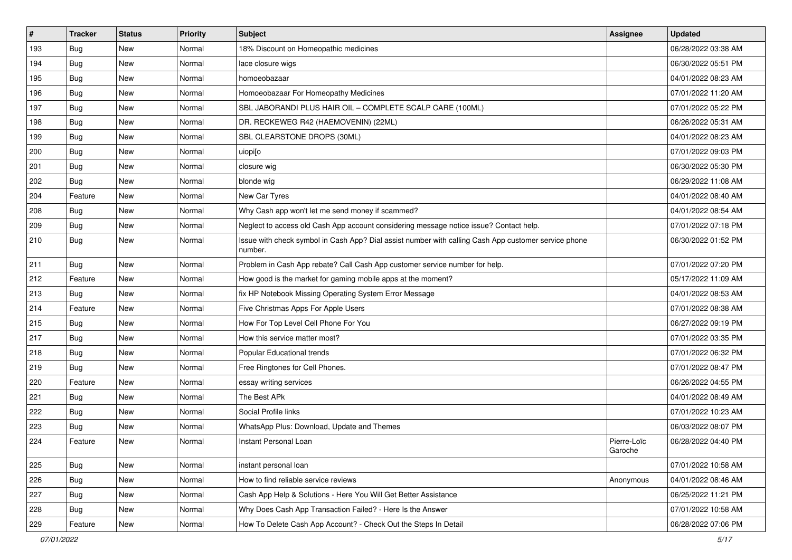| $\sharp$ | <b>Tracker</b> | <b>Status</b> | Priority | <b>Subject</b>                                                                                                  | Assignee               | <b>Updated</b>      |
|----------|----------------|---------------|----------|-----------------------------------------------------------------------------------------------------------------|------------------------|---------------------|
| 193      | Bug            | New           | Normal   | 18% Discount on Homeopathic medicines                                                                           |                        | 06/28/2022 03:38 AM |
| 194      | Bug            | <b>New</b>    | Normal   | lace closure wigs                                                                                               |                        | 06/30/2022 05:51 PM |
| 195      | Bug            | New           | Normal   | homoeobazaar                                                                                                    |                        | 04/01/2022 08:23 AM |
| 196      | Bug            | New           | Normal   | Homoeobazaar For Homeopathy Medicines                                                                           |                        | 07/01/2022 11:20 AM |
| 197      | Bug            | <b>New</b>    | Normal   | SBL JABORANDI PLUS HAIR OIL - COMPLETE SCALP CARE (100ML)                                                       |                        | 07/01/2022 05:22 PM |
| 198      | Bug            | New           | Normal   | DR. RECKEWEG R42 (HAEMOVENIN) (22ML)                                                                            |                        | 06/26/2022 05:31 AM |
| 199      | Bug            | <b>New</b>    | Normal   | SBL CLEARSTONE DROPS (30ML)                                                                                     |                        | 04/01/2022 08:23 AM |
| 200      | Bug            | New           | Normal   | uiopi[o                                                                                                         |                        | 07/01/2022 09:03 PM |
| 201      | Bug            | <b>New</b>    | Normal   | closure wig                                                                                                     |                        | 06/30/2022 05:30 PM |
| 202      | Bug            | <b>New</b>    | Normal   | blonde wig                                                                                                      |                        | 06/29/2022 11:08 AM |
| 204      | Feature        | New           | Normal   | New Car Tyres                                                                                                   |                        | 04/01/2022 08:40 AM |
| 208      | Bug            | New           | Normal   | Why Cash app won't let me send money if scammed?                                                                |                        | 04/01/2022 08:54 AM |
| 209      | Bug            | <b>New</b>    | Normal   | Neglect to access old Cash App account considering message notice issue? Contact help.                          |                        | 07/01/2022 07:18 PM |
| 210      | Bug            | New           | Normal   | Issue with check symbol in Cash App? Dial assist number with calling Cash App customer service phone<br>number. |                        | 06/30/2022 01:52 PM |
| 211      | Bug            | New           | Normal   | Problem in Cash App rebate? Call Cash App customer service number for help.                                     |                        | 07/01/2022 07:20 PM |
| 212      | Feature        | <b>New</b>    | Normal   | How good is the market for gaming mobile apps at the moment?                                                    |                        | 05/17/2022 11:09 AM |
| 213      | Bug            | New           | Normal   | fix HP Notebook Missing Operating System Error Message                                                          |                        | 04/01/2022 08:53 AM |
| 214      | Feature        | New           | Normal   | Five Christmas Apps For Apple Users                                                                             |                        | 07/01/2022 08:38 AM |
| 215      | Bug            | <b>New</b>    | Normal   | How For Top Level Cell Phone For You                                                                            |                        | 06/27/2022 09:19 PM |
| 217      | Bug            | <b>New</b>    | Normal   | How this service matter most?                                                                                   |                        | 07/01/2022 03:35 PM |
| 218      | Bug            | <b>New</b>    | Normal   | Popular Educational trends                                                                                      |                        | 07/01/2022 06:32 PM |
| 219      | Bug            | <b>New</b>    | Normal   | Free Ringtones for Cell Phones.                                                                                 |                        | 07/01/2022 08:47 PM |
| 220      | Feature        | New           | Normal   | essay writing services                                                                                          |                        | 06/26/2022 04:55 PM |
| 221      | Bug            | <b>New</b>    | Normal   | The Best APk                                                                                                    |                        | 04/01/2022 08:49 AM |
| 222      | Bug            | <b>New</b>    | Normal   | Social Profile links                                                                                            |                        | 07/01/2022 10:23 AM |
| 223      | <b>Bug</b>     | New           | Normal   | WhatsApp Plus: Download, Update and Themes                                                                      |                        | 06/03/2022 08:07 PM |
| 224      | Feature        | <b>New</b>    | Normal   | Instant Personal Loan                                                                                           | Pierre-Loïc<br>Garoche | 06/28/2022 04:40 PM |
| 225      | Bug            | New           | Normal   | instant personal loan                                                                                           |                        | 07/01/2022 10:58 AM |
| 226      | Bug            | New           | Normal   | How to find reliable service reviews                                                                            | Anonymous              | 04/01/2022 08:46 AM |
| 227      | Bug            | New           | Normal   | Cash App Help & Solutions - Here You Will Get Better Assistance                                                 |                        | 06/25/2022 11:21 PM |
| 228      | Bug            | New           | Normal   | Why Does Cash App Transaction Failed? - Here Is the Answer                                                      |                        | 07/01/2022 10:58 AM |
| 229      | Feature        | New           | Normal   | How To Delete Cash App Account? - Check Out the Steps In Detail                                                 |                        | 06/28/2022 07:06 PM |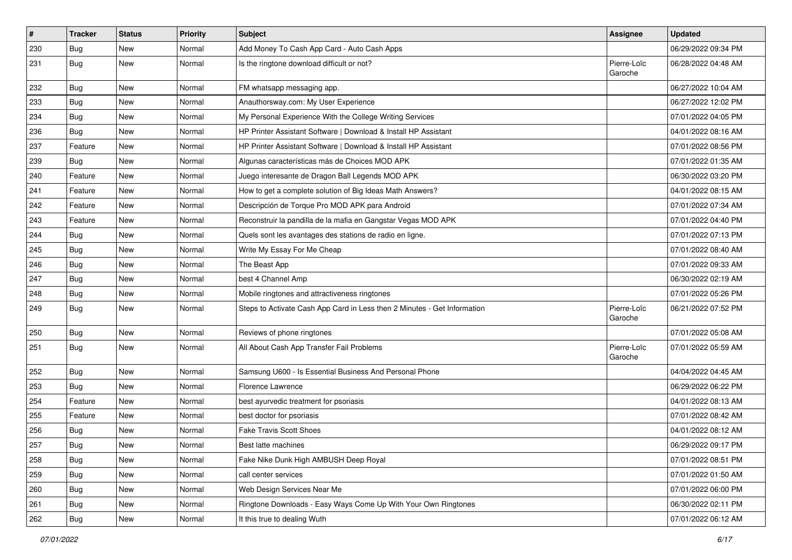| $\vert$ # | <b>Tracker</b> | <b>Status</b> | <b>Priority</b> | <b>Subject</b>                                                           | Assignee               | <b>Updated</b>      |
|-----------|----------------|---------------|-----------------|--------------------------------------------------------------------------|------------------------|---------------------|
| 230       | Bug            | New           | Normal          | Add Money To Cash App Card - Auto Cash Apps                              |                        | 06/29/2022 09:34 PM |
| 231       | Bug            | <b>New</b>    | Normal          | Is the ringtone download difficult or not?                               | Pierre-Loïc<br>Garoche | 06/28/2022 04:48 AM |
| 232       | Bug            | <b>New</b>    | Normal          | FM whatsapp messaging app.                                               |                        | 06/27/2022 10:04 AM |
| 233       | Bug            | <b>New</b>    | Normal          | Anauthorsway.com: My User Experience                                     |                        | 06/27/2022 12:02 PM |
| 234       | Bug            | New           | Normal          | My Personal Experience With the College Writing Services                 |                        | 07/01/2022 04:05 PM |
| 236       | Bug            | <b>New</b>    | Normal          | HP Printer Assistant Software   Download & Install HP Assistant          |                        | 04/01/2022 08:16 AM |
| 237       | Feature        | New           | Normal          | HP Printer Assistant Software   Download & Install HP Assistant          |                        | 07/01/2022 08:56 PM |
| 239       | Bug            | <b>New</b>    | Normal          | Algunas características más de Choices MOD APK                           |                        | 07/01/2022 01:35 AM |
| 240       | Feature        | <b>New</b>    | Normal          | Juego interesante de Dragon Ball Legends MOD APK                         |                        | 06/30/2022 03:20 PM |
| 241       | Feature        | New           | Normal          | How to get a complete solution of Big Ideas Math Answers?                |                        | 04/01/2022 08:15 AM |
| 242       | Feature        | New           | Normal          | Descripción de Torque Pro MOD APK para Android                           |                        | 07/01/2022 07:34 AM |
| 243       | Feature        | New           | Normal          | Reconstruir la pandilla de la mafia en Gangstar Vegas MOD APK            |                        | 07/01/2022 04:40 PM |
| 244       | Bug            | <b>New</b>    | Normal          | Quels sont les avantages des stations de radio en ligne.                 |                        | 07/01/2022 07:13 PM |
| 245       | Bug            | <b>New</b>    | Normal          | Write My Essay For Me Cheap                                              |                        | 07/01/2022 08:40 AM |
| 246       | Bug            | New           | Normal          | The Beast App                                                            |                        | 07/01/2022 09:33 AM |
| 247       | Bug            | <b>New</b>    | Normal          | best 4 Channel Amp                                                       |                        | 06/30/2022 02:19 AM |
| 248       | Bug            | <b>New</b>    | Normal          | Mobile ringtones and attractiveness ringtones                            |                        | 07/01/2022 05:26 PM |
| 249       | Bug            | New           | Normal          | Steps to Activate Cash App Card in Less then 2 Minutes - Get Information | Pierre-Loïc<br>Garoche | 06/21/2022 07:52 PM |
| 250       | Bug            | New           | Normal          | Reviews of phone ringtones                                               |                        | 07/01/2022 05:08 AM |
| 251       | Bug            | <b>New</b>    | Normal          | All About Cash App Transfer Fail Problems                                | Pierre-Loïc<br>Garoche | 07/01/2022 05:59 AM |
| 252       | Bug            | New           | Normal          | Samsung U600 - Is Essential Business And Personal Phone                  |                        | 04/04/2022 04:45 AM |
| 253       | Bug            | <b>New</b>    | Normal          | Florence Lawrence                                                        |                        | 06/29/2022 06:22 PM |
| 254       | Feature        | New           | Normal          | best ayurvedic treatment for psoriasis                                   |                        | 04/01/2022 08:13 AM |
| 255       | Feature        | New           | Normal          | best doctor for psoriasis                                                |                        | 07/01/2022 08:42 AM |
| 256       | Bug            | <b>New</b>    | Normal          | <b>Fake Travis Scott Shoes</b>                                           |                        | 04/01/2022 08:12 AM |
| 257       | Bug            | New           | Normal          | Best latte machines                                                      |                        | 06/29/2022 09:17 PM |
| 258       | Bug            | New           | Normal          | Fake Nike Dunk High AMBUSH Deep Royal                                    |                        | 07/01/2022 08:51 PM |
| 259       | Bug            | New           | Normal          | call center services                                                     |                        | 07/01/2022 01:50 AM |
| 260       | <b>Bug</b>     | New           | Normal          | Web Design Services Near Me                                              |                        | 07/01/2022 06:00 PM |
| 261       | Bug            | New           | Normal          | Ringtone Downloads - Easy Ways Come Up With Your Own Ringtones           |                        | 06/30/2022 02:11 PM |
| 262       | <b>Bug</b>     | New           | Normal          | It this true to dealing Wuth                                             |                        | 07/01/2022 06:12 AM |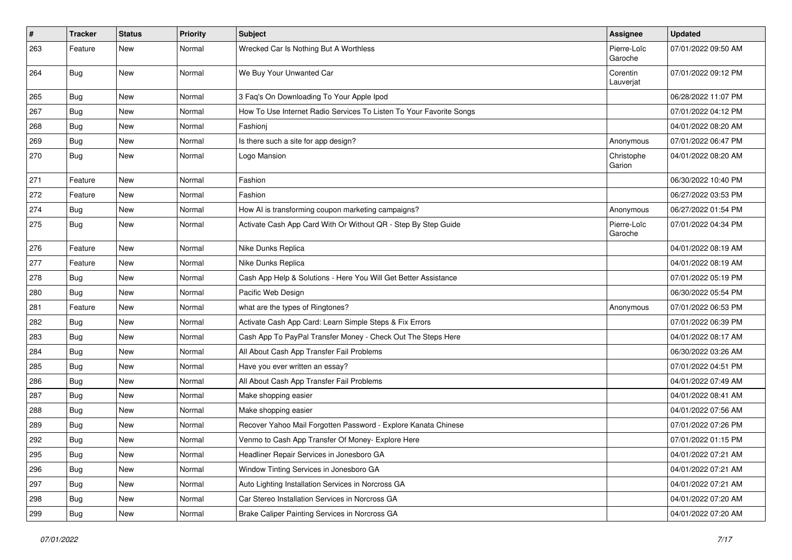| #   | <b>Tracker</b> | <b>Status</b> | <b>Priority</b> | <b>Subject</b>                                                      | <b>Assignee</b>        | <b>Updated</b>      |
|-----|----------------|---------------|-----------------|---------------------------------------------------------------------|------------------------|---------------------|
| 263 | Feature        | New           | Normal          | Wrecked Car Is Nothing But A Worthless                              | Pierre-Loïc<br>Garoche | 07/01/2022 09:50 AM |
| 264 | Bug            | <b>New</b>    | Normal          | We Buy Your Unwanted Car                                            | Corentin<br>Lauverjat  | 07/01/2022 09:12 PM |
| 265 | Bug            | <b>New</b>    | Normal          | 3 Faq's On Downloading To Your Apple Ipod                           |                        | 06/28/2022 11:07 PM |
| 267 | Bug            | New           | Normal          | How To Use Internet Radio Services To Listen To Your Favorite Songs |                        | 07/01/2022 04:12 PM |
| 268 | <b>Bug</b>     | <b>New</b>    | Normal          | Fashionj                                                            |                        | 04/01/2022 08:20 AM |
| 269 | Bug            | New           | Normal          | Is there such a site for app design?                                | Anonymous              | 07/01/2022 06:47 PM |
| 270 | Bug            | <b>New</b>    | Normal          | Logo Mansion                                                        | Christophe<br>Garion   | 04/01/2022 08:20 AM |
| 271 | Feature        | New           | Normal          | Fashion                                                             |                        | 06/30/2022 10:40 PM |
| 272 | Feature        | <b>New</b>    | Normal          | Fashion                                                             |                        | 06/27/2022 03:53 PM |
| 274 | Bug            | <b>New</b>    | Normal          | How AI is transforming coupon marketing campaigns?                  | Anonymous              | 06/27/2022 01:54 PM |
| 275 | Bug            | New           | Normal          | Activate Cash App Card With Or Without QR - Step By Step Guide      | Pierre-Loïc<br>Garoche | 07/01/2022 04:34 PM |
| 276 | Feature        | New           | Normal          | Nike Dunks Replica                                                  |                        | 04/01/2022 08:19 AM |
| 277 | Feature        | <b>New</b>    | Normal          | Nike Dunks Replica                                                  |                        | 04/01/2022 08:19 AM |
| 278 | Bug            | <b>New</b>    | Normal          | Cash App Help & Solutions - Here You Will Get Better Assistance     |                        | 07/01/2022 05:19 PM |
| 280 | <b>Bug</b>     | New           | Normal          | Pacific Web Design                                                  |                        | 06/30/2022 05:54 PM |
| 281 | Feature        | <b>New</b>    | Normal          | what are the types of Ringtones?                                    | Anonymous              | 07/01/2022 06:53 PM |
| 282 | Bug            | New           | Normal          | Activate Cash App Card: Learn Simple Steps & Fix Errors             |                        | 07/01/2022 06:39 PM |
| 283 | Bug            | New           | Normal          | Cash App To PayPal Transfer Money - Check Out The Steps Here        |                        | 04/01/2022 08:17 AM |
| 284 | <b>Bug</b>     | <b>New</b>    | Normal          | All About Cash App Transfer Fail Problems                           |                        | 06/30/2022 03:26 AM |
| 285 | Bug            | New           | Normal          | Have you ever written an essay?                                     |                        | 07/01/2022 04:51 PM |
| 286 | Bug            | <b>New</b>    | Normal          | All About Cash App Transfer Fail Problems                           |                        | 04/01/2022 07:49 AM |
| 287 | <b>Bug</b>     | <b>New</b>    | Normal          | Make shopping easier                                                |                        | 04/01/2022 08:41 AM |
| 288 | Bug            | <b>New</b>    | Normal          | Make shopping easier                                                |                        | 04/01/2022 07:56 AM |
| 289 | Bug            | <b>New</b>    | Normal          | Recover Yahoo Mail Forgotten Password - Explore Kanata Chinese      |                        | 07/01/2022 07:26 PM |
| 292 | Bug            | New           | Normal          | Venmo to Cash App Transfer Of Money- Explore Here                   |                        | 07/01/2022 01:15 PM |
| 295 | <b>Bug</b>     | New           | Normal          | Headliner Repair Services in Jonesboro GA                           |                        | 04/01/2022 07:21 AM |
| 296 | <b>Bug</b>     | New           | Normal          | Window Tinting Services in Jonesboro GA                             |                        | 04/01/2022 07:21 AM |
| 297 | Bug            | New           | Normal          | Auto Lighting Installation Services in Norcross GA                  |                        | 04/01/2022 07:21 AM |
| 298 | Bug            | New           | Normal          | Car Stereo Installation Services in Norcross GA                     |                        | 04/01/2022 07:20 AM |
| 299 | Bug            | New           | Normal          | Brake Caliper Painting Services in Norcross GA                      |                        | 04/01/2022 07:20 AM |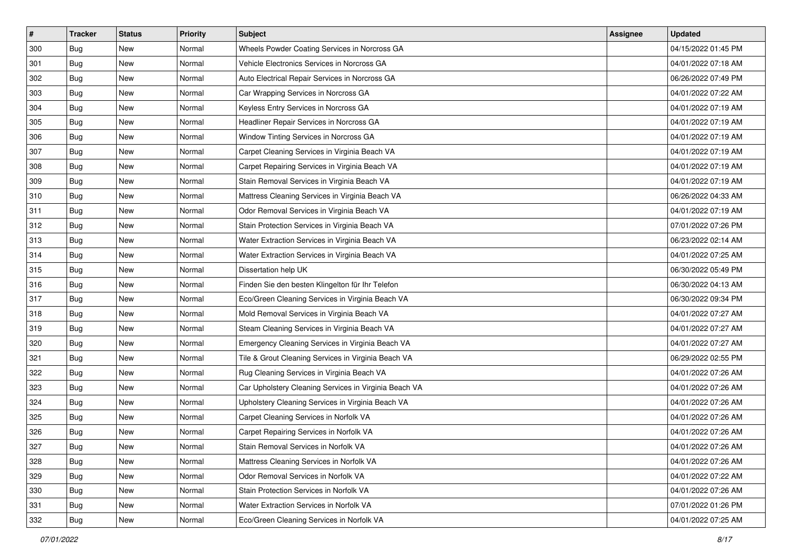| $\sharp$ | <b>Tracker</b> | <b>Status</b> | <b>Priority</b> | Subject                                               | <b>Assignee</b> | <b>Updated</b>      |
|----------|----------------|---------------|-----------------|-------------------------------------------------------|-----------------|---------------------|
| 300      | Bug            | New           | Normal          | Wheels Powder Coating Services in Norcross GA         |                 | 04/15/2022 01:45 PM |
| 301      | Bug            | <b>New</b>    | Normal          | Vehicle Electronics Services in Norcross GA           |                 | 04/01/2022 07:18 AM |
| 302      | Bug            | New           | Normal          | Auto Electrical Repair Services in Norcross GA        |                 | 06/26/2022 07:49 PM |
| 303      | Bug            | New           | Normal          | Car Wrapping Services in Norcross GA                  |                 | 04/01/2022 07:22 AM |
| 304      | Bug            | <b>New</b>    | Normal          | Keyless Entry Services in Norcross GA                 |                 | 04/01/2022 07:19 AM |
| 305      | Bug            | New           | Normal          | Headliner Repair Services in Norcross GA              |                 | 04/01/2022 07:19 AM |
| 306      | Bug            | <b>New</b>    | Normal          | Window Tinting Services in Norcross GA                |                 | 04/01/2022 07:19 AM |
| 307      | Bug            | New           | Normal          | Carpet Cleaning Services in Virginia Beach VA         |                 | 04/01/2022 07:19 AM |
| 308      | Bug            | <b>New</b>    | Normal          | Carpet Repairing Services in Virginia Beach VA        |                 | 04/01/2022 07:19 AM |
| 309      | Bug            | <b>New</b>    | Normal          | Stain Removal Services in Virginia Beach VA           |                 | 04/01/2022 07:19 AM |
| 310      | Bug            | <b>New</b>    | Normal          | Mattress Cleaning Services in Virginia Beach VA       |                 | 06/26/2022 04:33 AM |
| 311      | Bug            | New           | Normal          | Odor Removal Services in Virginia Beach VA            |                 | 04/01/2022 07:19 AM |
| 312      | Bug            | New           | Normal          | Stain Protection Services in Virginia Beach VA        |                 | 07/01/2022 07:26 PM |
| 313      | Bug            | New           | Normal          | Water Extraction Services in Virginia Beach VA        |                 | 06/23/2022 02:14 AM |
| 314      | Bug            | New           | Normal          | Water Extraction Services in Virginia Beach VA        |                 | 04/01/2022 07:25 AM |
| 315      | Bug            | New           | Normal          | Dissertation help UK                                  |                 | 06/30/2022 05:49 PM |
| 316      | Bug            | New           | Normal          | Finden Sie den besten Klingelton für Ihr Telefon      |                 | 06/30/2022 04:13 AM |
| 317      | Bug            | <b>New</b>    | Normal          | Eco/Green Cleaning Services in Virginia Beach VA      |                 | 06/30/2022 09:34 PM |
| 318      | Bug            | <b>New</b>    | Normal          | Mold Removal Services in Virginia Beach VA            |                 | 04/01/2022 07:27 AM |
| 319      | Bug            | <b>New</b>    | Normal          | Steam Cleaning Services in Virginia Beach VA          |                 | 04/01/2022 07:27 AM |
| 320      | Bug            | New           | Normal          | Emergency Cleaning Services in Virginia Beach VA      |                 | 04/01/2022 07:27 AM |
| 321      | Bug            | <b>New</b>    | Normal          | Tile & Grout Cleaning Services in Virginia Beach VA   |                 | 06/29/2022 02:55 PM |
| 322      | Bug            | <b>New</b>    | Normal          | Rug Cleaning Services in Virginia Beach VA            |                 | 04/01/2022 07:26 AM |
| 323      | Bug            | New           | Normal          | Car Upholstery Cleaning Services in Virginia Beach VA |                 | 04/01/2022 07:26 AM |
| 324      | Bug            | <b>New</b>    | Normal          | Upholstery Cleaning Services in Virginia Beach VA     |                 | 04/01/2022 07:26 AM |
| 325      | Bug            | New           | Normal          | Carpet Cleaning Services in Norfolk VA                |                 | 04/01/2022 07:26 AM |
| 326      | <b>Bug</b>     | New           | Normal          | Carpet Repairing Services in Norfolk VA               |                 | 04/01/2022 07:26 AM |
| 327      | <b>Bug</b>     | New           | Normal          | Stain Removal Services in Norfolk VA                  |                 | 04/01/2022 07:26 AM |
| 328      | Bug            | New           | Normal          | Mattress Cleaning Services in Norfolk VA              |                 | 04/01/2022 07:26 AM |
| 329      | Bug            | New           | Normal          | Odor Removal Services in Norfolk VA                   |                 | 04/01/2022 07:22 AM |
| 330      | Bug            | New           | Normal          | Stain Protection Services in Norfolk VA               |                 | 04/01/2022 07:26 AM |
| 331      | Bug            | New           | Normal          | Water Extraction Services in Norfolk VA               |                 | 07/01/2022 01:26 PM |
| 332      | <b>Bug</b>     | New           | Normal          | Eco/Green Cleaning Services in Norfolk VA             |                 | 04/01/2022 07:25 AM |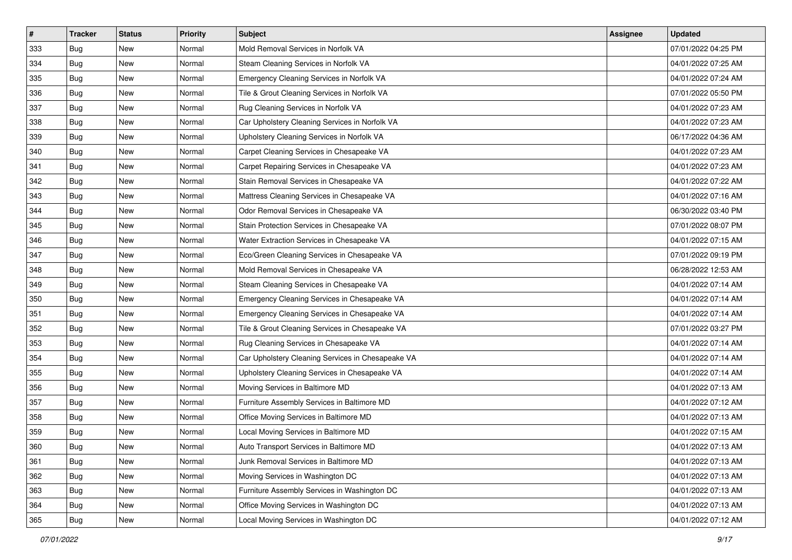| $\sharp$ | <b>Tracker</b> | <b>Status</b> | <b>Priority</b> | Subject                                           | <b>Assignee</b> | <b>Updated</b>      |
|----------|----------------|---------------|-----------------|---------------------------------------------------|-----------------|---------------------|
| 333      | Bug            | New           | Normal          | Mold Removal Services in Norfolk VA               |                 | 07/01/2022 04:25 PM |
| 334      | Bug            | <b>New</b>    | Normal          | Steam Cleaning Services in Norfolk VA             |                 | 04/01/2022 07:25 AM |
| 335      | Bug            | <b>New</b>    | Normal          | Emergency Cleaning Services in Norfolk VA         |                 | 04/01/2022 07:24 AM |
| 336      | Bug            | New           | Normal          | Tile & Grout Cleaning Services in Norfolk VA      |                 | 07/01/2022 05:50 PM |
| 337      | Bug            | New           | Normal          | Rug Cleaning Services in Norfolk VA               |                 | 04/01/2022 07:23 AM |
| 338      | Bug            | New           | Normal          | Car Upholstery Cleaning Services in Norfolk VA    |                 | 04/01/2022 07:23 AM |
| 339      | Bug            | <b>New</b>    | Normal          | Upholstery Cleaning Services in Norfolk VA        |                 | 06/17/2022 04:36 AM |
| 340      | Bug            | New           | Normal          | Carpet Cleaning Services in Chesapeake VA         |                 | 04/01/2022 07:23 AM |
| 341      | Bug            | <b>New</b>    | Normal          | Carpet Repairing Services in Chesapeake VA        |                 | 04/01/2022 07:23 AM |
| 342      | Bug            | <b>New</b>    | Normal          | Stain Removal Services in Chesapeake VA           |                 | 04/01/2022 07:22 AM |
| 343      | Bug            | <b>New</b>    | Normal          | Mattress Cleaning Services in Chesapeake VA       |                 | 04/01/2022 07:16 AM |
| 344      | Bug            | New           | Normal          | Odor Removal Services in Chesapeake VA            |                 | 06/30/2022 03:40 PM |
| 345      | Bug            | New           | Normal          | Stain Protection Services in Chesapeake VA        |                 | 07/01/2022 08:07 PM |
| 346      | Bug            | New           | Normal          | Water Extraction Services in Chesapeake VA        |                 | 04/01/2022 07:15 AM |
| 347      | Bug            | New           | Normal          | Eco/Green Cleaning Services in Chesapeake VA      |                 | 07/01/2022 09:19 PM |
| 348      | Bug            | New           | Normal          | Mold Removal Services in Chesapeake VA            |                 | 06/28/2022 12:53 AM |
| 349      | Bug            | New           | Normal          | Steam Cleaning Services in Chesapeake VA          |                 | 04/01/2022 07:14 AM |
| 350      | Bug            | <b>New</b>    | Normal          | Emergency Cleaning Services in Chesapeake VA      |                 | 04/01/2022 07:14 AM |
| 351      | Bug            | <b>New</b>    | Normal          | Emergency Cleaning Services in Chesapeake VA      |                 | 04/01/2022 07:14 AM |
| 352      | Bug            | <b>New</b>    | Normal          | Tile & Grout Cleaning Services in Chesapeake VA   |                 | 07/01/2022 03:27 PM |
| 353      | Bug            | New           | Normal          | Rug Cleaning Services in Chesapeake VA            |                 | 04/01/2022 07:14 AM |
| 354      | Bug            | <b>New</b>    | Normal          | Car Upholstery Cleaning Services in Chesapeake VA |                 | 04/01/2022 07:14 AM |
| 355      | Bug            | <b>New</b>    | Normal          | Upholstery Cleaning Services in Chesapeake VA     |                 | 04/01/2022 07:14 AM |
| 356      | Bug            | New           | Normal          | Moving Services in Baltimore MD                   |                 | 04/01/2022 07:13 AM |
| 357      | Bug            | <b>New</b>    | Normal          | Furniture Assembly Services in Baltimore MD       |                 | 04/01/2022 07:12 AM |
| 358      | Bug            | New           | Normal          | Office Moving Services in Baltimore MD            |                 | 04/01/2022 07:13 AM |
| 359      | <b>Bug</b>     | New           | Normal          | Local Moving Services in Baltimore MD             |                 | 04/01/2022 07:15 AM |
| 360      | <b>Bug</b>     | New           | Normal          | Auto Transport Services in Baltimore MD           |                 | 04/01/2022 07:13 AM |
| 361      | Bug            | New           | Normal          | Junk Removal Services in Baltimore MD             |                 | 04/01/2022 07:13 AM |
| 362      | Bug            | New           | Normal          | Moving Services in Washington DC                  |                 | 04/01/2022 07:13 AM |
| 363      | Bug            | New           | Normal          | Furniture Assembly Services in Washington DC      |                 | 04/01/2022 07:13 AM |
| 364      | Bug            | New           | Normal          | Office Moving Services in Washington DC           |                 | 04/01/2022 07:13 AM |
| 365      | <b>Bug</b>     | New           | Normal          | Local Moving Services in Washington DC            |                 | 04/01/2022 07:12 AM |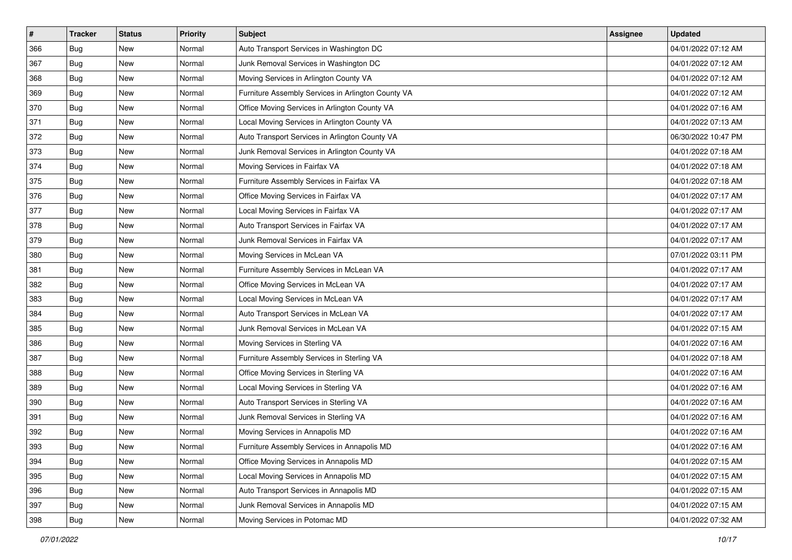| $\vert$ # | <b>Tracker</b> | <b>Status</b> | <b>Priority</b> | <b>Subject</b>                                     | <b>Assignee</b> | <b>Updated</b>      |
|-----------|----------------|---------------|-----------------|----------------------------------------------------|-----------------|---------------------|
| 366       | Bug            | New           | Normal          | Auto Transport Services in Washington DC           |                 | 04/01/2022 07:12 AM |
| 367       | Bug            | New           | Normal          | Junk Removal Services in Washington DC             |                 | 04/01/2022 07:12 AM |
| 368       | Bug            | New           | Normal          | Moving Services in Arlington County VA             |                 | 04/01/2022 07:12 AM |
| 369       | Bug            | New           | Normal          | Furniture Assembly Services in Arlington County VA |                 | 04/01/2022 07:12 AM |
| 370       | Bug            | <b>New</b>    | Normal          | Office Moving Services in Arlington County VA      |                 | 04/01/2022 07:16 AM |
| 371       | Bug            | New           | Normal          | Local Moving Services in Arlington County VA       |                 | 04/01/2022 07:13 AM |
| 372       | Bug            | New           | Normal          | Auto Transport Services in Arlington County VA     |                 | 06/30/2022 10:47 PM |
| 373       | Bug            | New           | Normal          | Junk Removal Services in Arlington County VA       |                 | 04/01/2022 07:18 AM |
| 374       | Bug            | New           | Normal          | Moving Services in Fairfax VA                      |                 | 04/01/2022 07:18 AM |
| 375       | Bug            | <b>New</b>    | Normal          | Furniture Assembly Services in Fairfax VA          |                 | 04/01/2022 07:18 AM |
| 376       | Bug            | New           | Normal          | Office Moving Services in Fairfax VA               |                 | 04/01/2022 07:17 AM |
| 377       | Bug            | New           | Normal          | Local Moving Services in Fairfax VA                |                 | 04/01/2022 07:17 AM |
| 378       | Bug            | New           | Normal          | Auto Transport Services in Fairfax VA              |                 | 04/01/2022 07:17 AM |
| 379       | Bug            | New           | Normal          | Junk Removal Services in Fairfax VA                |                 | 04/01/2022 07:17 AM |
| 380       | Bug            | <b>New</b>    | Normal          | Moving Services in McLean VA                       |                 | 07/01/2022 03:11 PM |
| 381       | Bug            | New           | Normal          | Furniture Assembly Services in McLean VA           |                 | 04/01/2022 07:17 AM |
| 382       | Bug            | New           | Normal          | Office Moving Services in McLean VA                |                 | 04/01/2022 07:17 AM |
| 383       | Bug            | New           | Normal          | Local Moving Services in McLean VA                 |                 | 04/01/2022 07:17 AM |
| 384       | Bug            | New           | Normal          | Auto Transport Services in McLean VA               |                 | 04/01/2022 07:17 AM |
| 385       | Bug            | New           | Normal          | Junk Removal Services in McLean VA                 |                 | 04/01/2022 07:15 AM |
| 386       | Bug            | New           | Normal          | Moving Services in Sterling VA                     |                 | 04/01/2022 07:16 AM |
| 387       | Bug            | <b>New</b>    | Normal          | Furniture Assembly Services in Sterling VA         |                 | 04/01/2022 07:18 AM |
| 388       | Bug            | <b>New</b>    | Normal          | Office Moving Services in Sterling VA              |                 | 04/01/2022 07:16 AM |
| 389       | Bug            | New           | Normal          | Local Moving Services in Sterling VA               |                 | 04/01/2022 07:16 AM |
| 390       | Bug            | New           | Normal          | Auto Transport Services in Sterling VA             |                 | 04/01/2022 07:16 AM |
| 391       | Bug            | New           | Normal          | Junk Removal Services in Sterling VA               |                 | 04/01/2022 07:16 AM |
| 392       | Bug            | New           | Normal          | Moving Services in Annapolis MD                    |                 | 04/01/2022 07:16 AM |
| 393       | <b>Bug</b>     | New           | Normal          | Furniture Assembly Services in Annapolis MD        |                 | 04/01/2022 07:16 AM |
| 394       | Bug            | New           | Normal          | Office Moving Services in Annapolis MD             |                 | 04/01/2022 07:15 AM |
| 395       | Bug            | New           | Normal          | Local Moving Services in Annapolis MD              |                 | 04/01/2022 07:15 AM |
| 396       | Bug            | New           | Normal          | Auto Transport Services in Annapolis MD            |                 | 04/01/2022 07:15 AM |
| 397       | Bug            | New           | Normal          | Junk Removal Services in Annapolis MD              |                 | 04/01/2022 07:15 AM |
| 398       | <b>Bug</b>     | New           | Normal          | Moving Services in Potomac MD                      |                 | 04/01/2022 07:32 AM |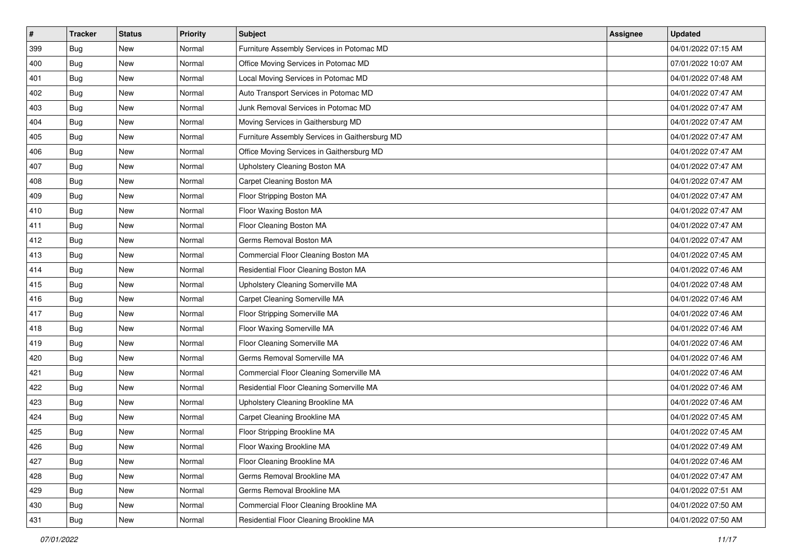| #   | <b>Tracker</b> | <b>Status</b> | <b>Priority</b> | Subject                                        | <b>Assignee</b> | <b>Updated</b>      |
|-----|----------------|---------------|-----------------|------------------------------------------------|-----------------|---------------------|
| 399 | Bug            | New           | Normal          | Furniture Assembly Services in Potomac MD      |                 | 04/01/2022 07:15 AM |
| 400 | Bug            | <b>New</b>    | Normal          | Office Moving Services in Potomac MD           |                 | 07/01/2022 10:07 AM |
| 401 | Bug            | New           | Normal          | Local Moving Services in Potomac MD            |                 | 04/01/2022 07:48 AM |
| 402 | Bug            | New           | Normal          | Auto Transport Services in Potomac MD          |                 | 04/01/2022 07:47 AM |
| 403 | Bug            | <b>New</b>    | Normal          | Junk Removal Services in Potomac MD            |                 | 04/01/2022 07:47 AM |
| 404 | Bug            | New           | Normal          | Moving Services in Gaithersburg MD             |                 | 04/01/2022 07:47 AM |
| 405 | Bug            | New           | Normal          | Furniture Assembly Services in Gaithersburg MD |                 | 04/01/2022 07:47 AM |
| 406 | Bug            | New           | Normal          | Office Moving Services in Gaithersburg MD      |                 | 04/01/2022 07:47 AM |
| 407 | Bug            | New           | Normal          | Upholstery Cleaning Boston MA                  |                 | 04/01/2022 07:47 AM |
| 408 | Bug            | <b>New</b>    | Normal          | Carpet Cleaning Boston MA                      |                 | 04/01/2022 07:47 AM |
| 409 | <b>Bug</b>     | New           | Normal          | Floor Stripping Boston MA                      |                 | 04/01/2022 07:47 AM |
| 410 | Bug            | New           | Normal          | Floor Waxing Boston MA                         |                 | 04/01/2022 07:47 AM |
| 411 | Bug            | New           | Normal          | Floor Cleaning Boston MA                       |                 | 04/01/2022 07:47 AM |
| 412 | Bug            | New           | Normal          | Germs Removal Boston MA                        |                 | 04/01/2022 07:47 AM |
| 413 | Bug            | New           | Normal          | Commercial Floor Cleaning Boston MA            |                 | 04/01/2022 07:45 AM |
| 414 | Bug            | New           | Normal          | Residential Floor Cleaning Boston MA           |                 | 04/01/2022 07:46 AM |
| 415 | Bug            | New           | Normal          | Upholstery Cleaning Somerville MA              |                 | 04/01/2022 07:48 AM |
| 416 | Bug            | New           | Normal          | Carpet Cleaning Somerville MA                  |                 | 04/01/2022 07:46 AM |
| 417 | Bug            | New           | Normal          | Floor Stripping Somerville MA                  |                 | 04/01/2022 07:46 AM |
| 418 | Bug            | <b>New</b>    | Normal          | Floor Waxing Somerville MA                     |                 | 04/01/2022 07:46 AM |
| 419 | Bug            | New           | Normal          | Floor Cleaning Somerville MA                   |                 | 04/01/2022 07:46 AM |
| 420 | Bug            | New           | Normal          | Germs Removal Somerville MA                    |                 | 04/01/2022 07:46 AM |
| 421 | <b>Bug</b>     | New           | Normal          | Commercial Floor Cleaning Somerville MA        |                 | 04/01/2022 07:46 AM |
| 422 | Bug            | New           | Normal          | Residential Floor Cleaning Somerville MA       |                 | 04/01/2022 07:46 AM |
| 423 | Bug            | New           | Normal          | Upholstery Cleaning Brookline MA               |                 | 04/01/2022 07:46 AM |
| 424 | Bug            | New           | Normal          | Carpet Cleaning Brookline MA                   |                 | 04/01/2022 07:45 AM |
| 425 | Bug            | New           | Normal          | Floor Stripping Brookline MA                   |                 | 04/01/2022 07:45 AM |
| 426 | <b>Bug</b>     | New           | Normal          | Floor Waxing Brookline MA                      |                 | 04/01/2022 07:49 AM |
| 427 | Bug            | New           | Normal          | Floor Cleaning Brookline MA                    |                 | 04/01/2022 07:46 AM |
| 428 | Bug            | New           | Normal          | Germs Removal Brookline MA                     |                 | 04/01/2022 07:47 AM |
| 429 | Bug            | New           | Normal          | Germs Removal Brookline MA                     |                 | 04/01/2022 07:51 AM |
| 430 | Bug            | New           | Normal          | Commercial Floor Cleaning Brookline MA         |                 | 04/01/2022 07:50 AM |
| 431 | <b>Bug</b>     | New           | Normal          | Residential Floor Cleaning Brookline MA        |                 | 04/01/2022 07:50 AM |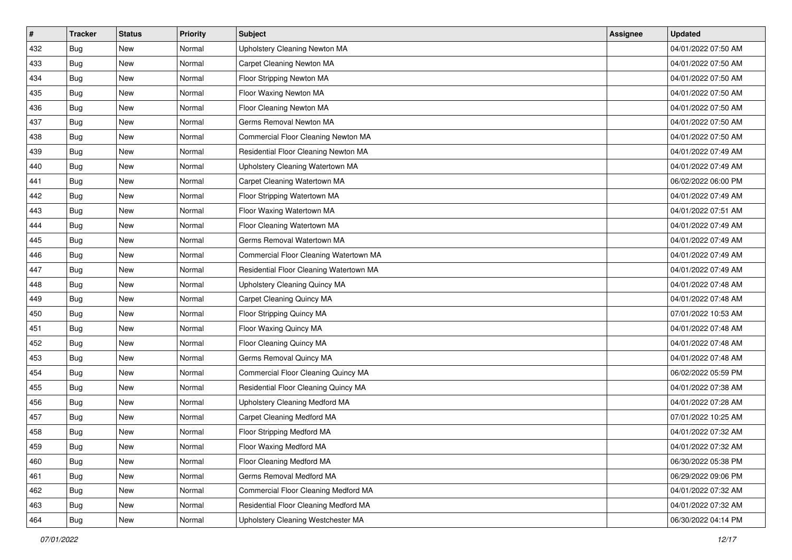| #   | <b>Tracker</b> | <b>Status</b> | <b>Priority</b> | <b>Subject</b>                          | <b>Assignee</b> | <b>Updated</b>      |
|-----|----------------|---------------|-----------------|-----------------------------------------|-----------------|---------------------|
| 432 | Bug            | New           | Normal          | Upholstery Cleaning Newton MA           |                 | 04/01/2022 07:50 AM |
| 433 | <b>Bug</b>     | <b>New</b>    | Normal          | Carpet Cleaning Newton MA               |                 | 04/01/2022 07:50 AM |
| 434 | Bug            | New           | Normal          | Floor Stripping Newton MA               |                 | 04/01/2022 07:50 AM |
| 435 | Bug            | New           | Normal          | Floor Waxing Newton MA                  |                 | 04/01/2022 07:50 AM |
| 436 | Bug            | New           | Normal          | Floor Cleaning Newton MA                |                 | 04/01/2022 07:50 AM |
| 437 | Bug            | New           | Normal          | Germs Removal Newton MA                 |                 | 04/01/2022 07:50 AM |
| 438 | Bug            | New           | Normal          | Commercial Floor Cleaning Newton MA     |                 | 04/01/2022 07:50 AM |
| 439 | Bug            | New           | Normal          | Residential Floor Cleaning Newton MA    |                 | 04/01/2022 07:49 AM |
| 440 | Bug            | New           | Normal          | Upholstery Cleaning Watertown MA        |                 | 04/01/2022 07:49 AM |
| 441 | <b>Bug</b>     | New           | Normal          | Carpet Cleaning Watertown MA            |                 | 06/02/2022 06:00 PM |
| 442 | Bug            | New           | Normal          | Floor Stripping Watertown MA            |                 | 04/01/2022 07:49 AM |
| 443 | Bug            | New           | Normal          | Floor Waxing Watertown MA               |                 | 04/01/2022 07:51 AM |
| 444 | Bug            | New           | Normal          | Floor Cleaning Watertown MA             |                 | 04/01/2022 07:49 AM |
| 445 | Bug            | New           | Normal          | Germs Removal Watertown MA              |                 | 04/01/2022 07:49 AM |
| 446 | Bug            | New           | Normal          | Commercial Floor Cleaning Watertown MA  |                 | 04/01/2022 07:49 AM |
| 447 | Bug            | New           | Normal          | Residential Floor Cleaning Watertown MA |                 | 04/01/2022 07:49 AM |
| 448 | Bug            | New           | Normal          | <b>Upholstery Cleaning Quincy MA</b>    |                 | 04/01/2022 07:48 AM |
| 449 | Bug            | New           | Normal          | Carpet Cleaning Quincy MA               |                 | 04/01/2022 07:48 AM |
| 450 | Bug            | New           | Normal          | Floor Stripping Quincy MA               |                 | 07/01/2022 10:53 AM |
| 451 | Bug            | <b>New</b>    | Normal          | Floor Waxing Quincy MA                  |                 | 04/01/2022 07:48 AM |
| 452 | Bug            | New           | Normal          | Floor Cleaning Quincy MA                |                 | 04/01/2022 07:48 AM |
| 453 | Bug            | New           | Normal          | Germs Removal Quincy MA                 |                 | 04/01/2022 07:48 AM |
| 454 | Bug            | New           | Normal          | Commercial Floor Cleaning Quincy MA     |                 | 06/02/2022 05:59 PM |
| 455 | Bug            | New           | Normal          | Residential Floor Cleaning Quincy MA    |                 | 04/01/2022 07:38 AM |
| 456 | Bug            | New           | Normal          | Upholstery Cleaning Medford MA          |                 | 04/01/2022 07:28 AM |
| 457 | Bug            | New           | Normal          | Carpet Cleaning Medford MA              |                 | 07/01/2022 10:25 AM |
| 458 | Bug            | New           | Normal          | Floor Stripping Medford MA              |                 | 04/01/2022 07:32 AM |
| 459 | <b>Bug</b>     | New           | Normal          | Floor Waxing Medford MA                 |                 | 04/01/2022 07:32 AM |
| 460 | Bug            | New           | Normal          | Floor Cleaning Medford MA               |                 | 06/30/2022 05:38 PM |
| 461 | <b>Bug</b>     | New           | Normal          | Germs Removal Medford MA                |                 | 06/29/2022 09:06 PM |
| 462 | Bug            | New           | Normal          | Commercial Floor Cleaning Medford MA    |                 | 04/01/2022 07:32 AM |
| 463 | <b>Bug</b>     | New           | Normal          | Residential Floor Cleaning Medford MA   |                 | 04/01/2022 07:32 AM |
| 464 | <b>Bug</b>     | New           | Normal          | Upholstery Cleaning Westchester MA      |                 | 06/30/2022 04:14 PM |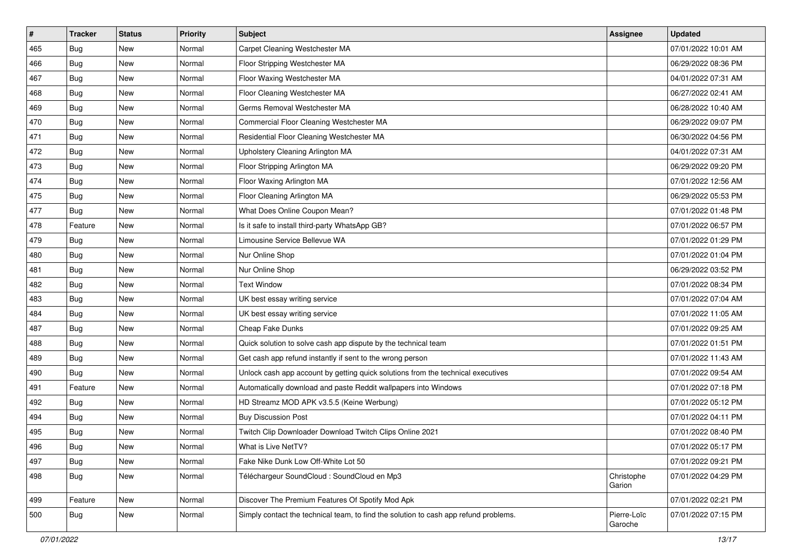| #   | <b>Tracker</b> | <b>Status</b> | <b>Priority</b> | <b>Subject</b>                                                                       | <b>Assignee</b>        | <b>Updated</b>      |
|-----|----------------|---------------|-----------------|--------------------------------------------------------------------------------------|------------------------|---------------------|
| 465 | Bug            | New           | Normal          | Carpet Cleaning Westchester MA                                                       |                        | 07/01/2022 10:01 AM |
| 466 | Bug            | <b>New</b>    | Normal          | Floor Stripping Westchester MA                                                       |                        | 06/29/2022 08:36 PM |
| 467 | Bug            | New           | Normal          | Floor Waxing Westchester MA                                                          |                        | 04/01/2022 07:31 AM |
| 468 | Bug            | New           | Normal          | Floor Cleaning Westchester MA                                                        |                        | 06/27/2022 02:41 AM |
| 469 | Bug            | New           | Normal          | Germs Removal Westchester MA                                                         |                        | 06/28/2022 10:40 AM |
| 470 | Bug            | New           | Normal          | Commercial Floor Cleaning Westchester MA                                             |                        | 06/29/2022 09:07 PM |
| 471 | <b>Bug</b>     | <b>New</b>    | Normal          | Residential Floor Cleaning Westchester MA                                            |                        | 06/30/2022 04:56 PM |
| 472 | Bug            | New           | Normal          | Upholstery Cleaning Arlington MA                                                     |                        | 04/01/2022 07:31 AM |
| 473 | Bug            | <b>New</b>    | Normal          | Floor Stripping Arlington MA                                                         |                        | 06/29/2022 09:20 PM |
| 474 | <b>Bug</b>     | New           | Normal          | Floor Waxing Arlington MA                                                            |                        | 07/01/2022 12:56 AM |
| 475 | Bug            | New           | Normal          | Floor Cleaning Arlington MA                                                          |                        | 06/29/2022 05:53 PM |
| 477 | Bug            | New           | Normal          | What Does Online Coupon Mean?                                                        |                        | 07/01/2022 01:48 PM |
| 478 | Feature        | New           | Normal          | Is it safe to install third-party WhatsApp GB?                                       |                        | 07/01/2022 06:57 PM |
| 479 | Bug            | <b>New</b>    | Normal          | Limousine Service Bellevue WA                                                        |                        | 07/01/2022 01:29 PM |
| 480 | <b>Bug</b>     | New           | Normal          | Nur Online Shop                                                                      |                        | 07/01/2022 01:04 PM |
| 481 | <b>Bug</b>     | New           | Normal          | Nur Online Shop                                                                      |                        | 06/29/2022 03:52 PM |
| 482 | <b>Bug</b>     | <b>New</b>    | Normal          | <b>Text Window</b>                                                                   |                        | 07/01/2022 08:34 PM |
| 483 | Bug            | New           | Normal          | UK best essay writing service                                                        |                        | 07/01/2022 07:04 AM |
| 484 | Bug            | New           | Normal          | UK best essay writing service                                                        |                        | 07/01/2022 11:05 AM |
| 487 | Bug            | <b>New</b>    | Normal          | Cheap Fake Dunks                                                                     |                        | 07/01/2022 09:25 AM |
| 488 | Bug            | New           | Normal          | Quick solution to solve cash app dispute by the technical team                       |                        | 07/01/2022 01:51 PM |
| 489 | Bug            | <b>New</b>    | Normal          | Get cash app refund instantly if sent to the wrong person                            |                        | 07/01/2022 11:43 AM |
| 490 | <b>Bug</b>     | New           | Normal          | Unlock cash app account by getting quick solutions from the technical executives     |                        | 07/01/2022 09:54 AM |
| 491 | Feature        | New           | Normal          | Automatically download and paste Reddit wallpapers into Windows                      |                        | 07/01/2022 07:18 PM |
| 492 | <b>Bug</b>     | New           | Normal          | HD Streamz MOD APK v3.5.5 (Keine Werbung)                                            |                        | 07/01/2022 05:12 PM |
| 494 | Bug            | New           | Normal          | <b>Buy Discussion Post</b>                                                           |                        | 07/01/2022 04:11 PM |
| 495 | Bug            | New           | Normal          | Twitch Clip Downloader Download Twitch Clips Online 2021                             |                        | 07/01/2022 08:40 PM |
| 496 | i Bug          | New           | Normal          | What is Live NetTV?                                                                  |                        | 07/01/2022 05:17 PM |
| 497 | Bug            | New           | Normal          | Fake Nike Dunk Low Off-White Lot 50                                                  |                        | 07/01/2022 09:21 PM |
| 498 | Bug            | New           | Normal          | Téléchargeur SoundCloud : SoundCloud en Mp3                                          | Christophe<br>Garion   | 07/01/2022 04:29 PM |
| 499 | Feature        | New           | Normal          | Discover The Premium Features Of Spotify Mod Apk                                     |                        | 07/01/2022 02:21 PM |
| 500 | Bug            | New           | Normal          | Simply contact the technical team, to find the solution to cash app refund problems. | Pierre-Loïc<br>Garoche | 07/01/2022 07:15 PM |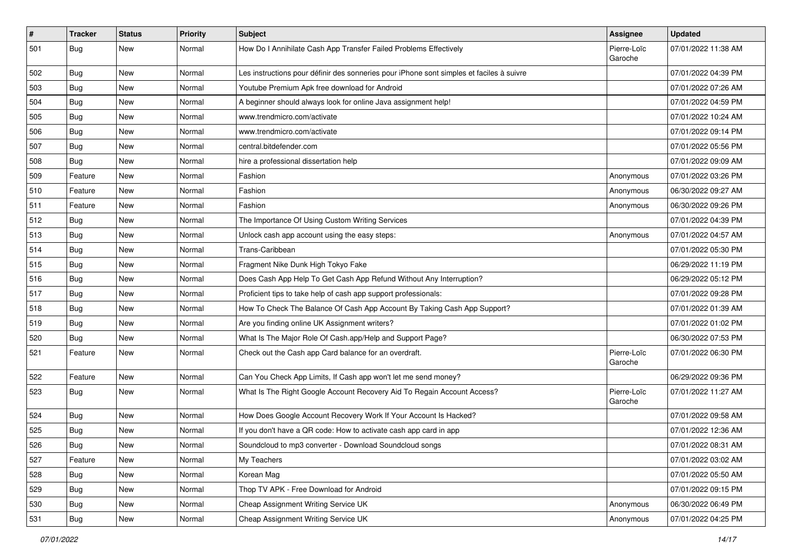| $\vert$ # | <b>Tracker</b> | <b>Status</b> | <b>Priority</b> | Subject                                                                                  | Assignee               | <b>Updated</b>      |
|-----------|----------------|---------------|-----------------|------------------------------------------------------------------------------------------|------------------------|---------------------|
| 501       | Bug            | New           | Normal          | How Do I Annihilate Cash App Transfer Failed Problems Effectively                        | Pierre-Loïc<br>Garoche | 07/01/2022 11:38 AM |
| 502       | Bug            | New           | Normal          | Les instructions pour définir des sonneries pour iPhone sont simples et faciles à suivre |                        | 07/01/2022 04:39 PM |
| 503       | Bug            | <b>New</b>    | Normal          | Youtube Premium Apk free download for Android                                            |                        | 07/01/2022 07:26 AM |
| 504       | <b>Bug</b>     | New           | Normal          | A beginner should always look for online Java assignment help!                           |                        | 07/01/2022 04:59 PM |
| 505       | Bug            | New           | Normal          | www.trendmicro.com/activate                                                              |                        | 07/01/2022 10:24 AM |
| 506       | Bug            | New           | Normal          | www.trendmicro.com/activate                                                              |                        | 07/01/2022 09:14 PM |
| 507       | Bug            | New           | Normal          | central.bitdefender.com                                                                  |                        | 07/01/2022 05:56 PM |
| 508       | Bug            | New           | Normal          | hire a professional dissertation help                                                    |                        | 07/01/2022 09:09 AM |
| 509       | Feature        | New           | Normal          | Fashion                                                                                  | Anonymous              | 07/01/2022 03:26 PM |
| 510       | Feature        | New           | Normal          | Fashion                                                                                  | Anonymous              | 06/30/2022 09:27 AM |
| 511       | Feature        | <b>New</b>    | Normal          | Fashion                                                                                  | Anonymous              | 06/30/2022 09:26 PM |
| 512       | <b>Bug</b>     | New           | Normal          | The Importance Of Using Custom Writing Services                                          |                        | 07/01/2022 04:39 PM |
| 513       | Bug            | New           | Normal          | Unlock cash app account using the easy steps:                                            | Anonymous              | 07/01/2022 04:57 AM |
| 514       | <b>Bug</b>     | <b>New</b>    | Normal          | Trans-Caribbean                                                                          |                        | 07/01/2022 05:30 PM |
| 515       | Bug            | New           | Normal          | Fragment Nike Dunk High Tokyo Fake                                                       |                        | 06/29/2022 11:19 PM |
| 516       | Bug            | <b>New</b>    | Normal          | Does Cash App Help To Get Cash App Refund Without Any Interruption?                      |                        | 06/29/2022 05:12 PM |
| 517       | <b>Bug</b>     | New           | Normal          | Proficient tips to take help of cash app support professionals:                          |                        | 07/01/2022 09:28 PM |
| 518       | Bug            | New           | Normal          | How To Check The Balance Of Cash App Account By Taking Cash App Support?                 |                        | 07/01/2022 01:39 AM |
| 519       | Bug            | New           | Normal          | Are you finding online UK Assignment writers?                                            |                        | 07/01/2022 01:02 PM |
| 520       | Bug            | New           | Normal          | What Is The Major Role Of Cash.app/Help and Support Page?                                |                        | 06/30/2022 07:53 PM |
| 521       | Feature        | New           | Normal          | Check out the Cash app Card balance for an overdraft.                                    | Pierre-Loïc<br>Garoche | 07/01/2022 06:30 PM |
| 522       | Feature        | New           | Normal          | Can You Check App Limits, If Cash app won't let me send money?                           |                        | 06/29/2022 09:36 PM |
| 523       | Bug            | New           | Normal          | What Is The Right Google Account Recovery Aid To Regain Account Access?                  | Pierre-Loïc<br>Garoche | 07/01/2022 11:27 AM |
| 524       | Bug            | New           | Normal          | How Does Google Account Recovery Work If Your Account Is Hacked?                         |                        | 07/01/2022 09:58 AM |
| 525       | Bug            | New           | Normal          | If you don't have a QR code: How to activate cash app card in app                        |                        | 07/01/2022 12:36 AM |
| 526       | Bug            | New           | Normal          | Soundcloud to mp3 converter - Download Soundcloud songs                                  |                        | 07/01/2022 08:31 AM |
| 527       | Feature        | New           | Normal          | My Teachers                                                                              |                        | 07/01/2022 03:02 AM |
| 528       | Bug            | New           | Normal          | Korean Mag                                                                               |                        | 07/01/2022 05:50 AM |
| 529       | Bug            | New           | Normal          | Thop TV APK - Free Download for Android                                                  |                        | 07/01/2022 09:15 PM |
| 530       | Bug            | New           | Normal          | Cheap Assignment Writing Service UK                                                      | Anonymous              | 06/30/2022 06:49 PM |
| 531       | <b>Bug</b>     | New           | Normal          | Cheap Assignment Writing Service UK                                                      | Anonymous              | 07/01/2022 04:25 PM |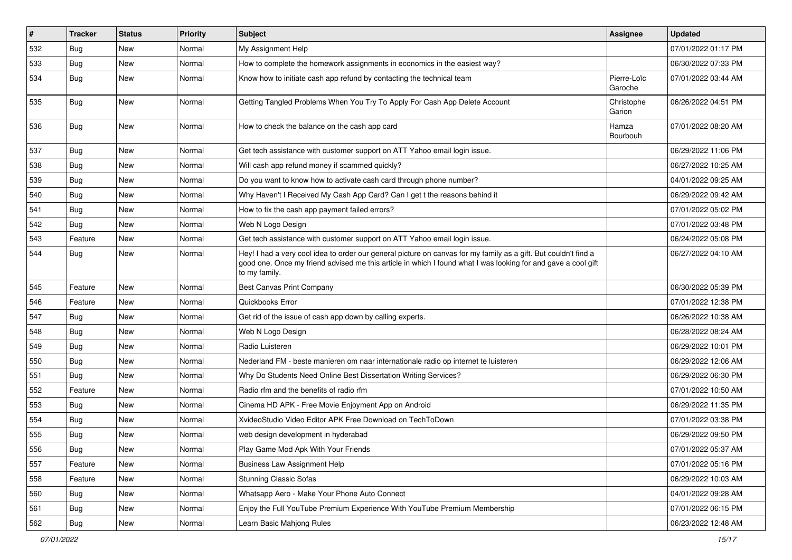| $\sharp$ | <b>Tracker</b> | <b>Status</b> | <b>Priority</b> | Subject                                                                                                                                                                                                                                           | <b>Assignee</b>        | <b>Updated</b>      |
|----------|----------------|---------------|-----------------|---------------------------------------------------------------------------------------------------------------------------------------------------------------------------------------------------------------------------------------------------|------------------------|---------------------|
| 532      | <b>Bug</b>     | New           | Normal          | My Assignment Help                                                                                                                                                                                                                                |                        | 07/01/2022 01:17 PM |
| 533      | <b>Bug</b>     | New           | Normal          | How to complete the homework assignments in economics in the easiest way?                                                                                                                                                                         |                        | 06/30/2022 07:33 PM |
| 534      | Bug            | New           | Normal          | Know how to initiate cash app refund by contacting the technical team                                                                                                                                                                             | Pierre-Loïc<br>Garoche | 07/01/2022 03:44 AM |
| 535      | Bug            | New           | Normal          | Getting Tangled Problems When You Try To Apply For Cash App Delete Account                                                                                                                                                                        | Christophe<br>Garion   | 06/26/2022 04:51 PM |
| 536      | Bug            | New           | Normal          | How to check the balance on the cash app card                                                                                                                                                                                                     | Hamza<br>Bourbouh      | 07/01/2022 08:20 AM |
| 537      | Bug            | New           | Normal          | Get tech assistance with customer support on ATT Yahoo email login issue.                                                                                                                                                                         |                        | 06/29/2022 11:06 PM |
| 538      | Bug            | New           | Normal          | Will cash app refund money if scammed quickly?                                                                                                                                                                                                    |                        | 06/27/2022 10:25 AM |
| 539      | Bug            | New           | Normal          | Do you want to know how to activate cash card through phone number?                                                                                                                                                                               |                        | 04/01/2022 09:25 AM |
| 540      | <b>Bug</b>     | <b>New</b>    | Normal          | Why Haven't I Received My Cash App Card? Can I get t the reasons behind it                                                                                                                                                                        |                        | 06/29/2022 09:42 AM |
| 541      | Bug            | New           | Normal          | How to fix the cash app payment failed errors?                                                                                                                                                                                                    |                        | 07/01/2022 05:02 PM |
| 542      | Bug            | New           | Normal          | Web N Logo Design                                                                                                                                                                                                                                 |                        | 07/01/2022 03:48 PM |
| 543      | Feature        | New           | Normal          | Get tech assistance with customer support on ATT Yahoo email login issue.                                                                                                                                                                         |                        | 06/24/2022 05:08 PM |
| 544      | Bug            | New           | Normal          | Hey! I had a very cool idea to order our general picture on canvas for my family as a gift. But couldn't find a<br>good one. Once my friend advised me this article in which I found what I was looking for and gave a cool gift<br>to my family. |                        | 06/27/2022 04:10 AM |
| 545      | Feature        | New           | Normal          | Best Canvas Print Company                                                                                                                                                                                                                         |                        | 06/30/2022 05:39 PM |
| 546      | Feature        | <b>New</b>    | Normal          | Quickbooks Error                                                                                                                                                                                                                                  |                        | 07/01/2022 12:38 PM |
| 547      | Bug            | New           | Normal          | Get rid of the issue of cash app down by calling experts.                                                                                                                                                                                         |                        | 06/26/2022 10:38 AM |
| 548      | <b>Bug</b>     | New           | Normal          | Web N Logo Design                                                                                                                                                                                                                                 |                        | 06/28/2022 08:24 AM |
| 549      | Bug            | New           | Normal          | Radio Luisteren                                                                                                                                                                                                                                   |                        | 06/29/2022 10:01 PM |
| 550      | Bug            | <b>New</b>    | Normal          | Nederland FM - beste manieren om naar internationale radio op internet te luisteren                                                                                                                                                               |                        | 06/29/2022 12:06 AM |
| 551      | Bug            | New           | Normal          | Why Do Students Need Online Best Dissertation Writing Services?                                                                                                                                                                                   |                        | 06/29/2022 06:30 PM |
| 552      | Feature        | New           | Normal          | Radio rfm and the benefits of radio rfm                                                                                                                                                                                                           |                        | 07/01/2022 10:50 AM |
| 553      | Bug            | New           | Normal          | Cinema HD APK - Free Movie Enjoyment App on Android                                                                                                                                                                                               |                        | 06/29/2022 11:35 PM |
| 554      | <b>Bug</b>     | New           | Normal          | XvideoStudio Video Editor APK Free Download on TechToDown                                                                                                                                                                                         |                        | 07/01/2022 03:38 PM |
| 555      | <b>Bug</b>     | New           | Normal          | web design development in hyderabad                                                                                                                                                                                                               |                        | 06/29/2022 09:50 PM |
| 556      | Bug            | New           | Normal          | Play Game Mod Apk With Your Friends                                                                                                                                                                                                               |                        | 07/01/2022 05:37 AM |
| 557      | Feature        | New           | Normal          | <b>Business Law Assignment Help</b>                                                                                                                                                                                                               |                        | 07/01/2022 05:16 PM |
| 558      | Feature        | New           | Normal          | <b>Stunning Classic Sofas</b>                                                                                                                                                                                                                     |                        | 06/29/2022 10:03 AM |
| 560      | Bug            | New           | Normal          | Whatsapp Aero - Make Your Phone Auto Connect                                                                                                                                                                                                      |                        | 04/01/2022 09:28 AM |
| 561      | Bug            | New           | Normal          | Enjoy the Full YouTube Premium Experience With YouTube Premium Membership                                                                                                                                                                         |                        | 07/01/2022 06:15 PM |
| 562      | <b>Bug</b>     | New           | Normal          | Learn Basic Mahjong Rules                                                                                                                                                                                                                         |                        | 06/23/2022 12:48 AM |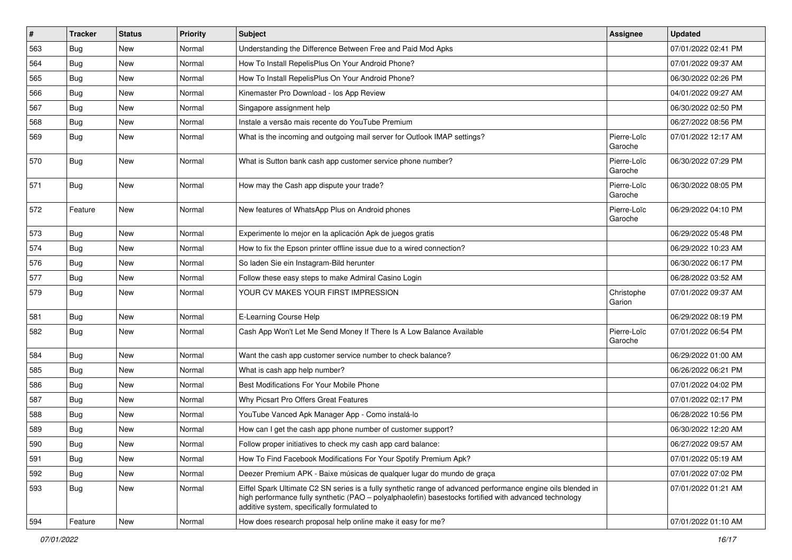| $\vert$ # | <b>Tracker</b> | <b>Status</b> | <b>Priority</b> | <b>Subject</b>                                                                                                                                                                                                                                                        | Assignee               | <b>Updated</b>      |
|-----------|----------------|---------------|-----------------|-----------------------------------------------------------------------------------------------------------------------------------------------------------------------------------------------------------------------------------------------------------------------|------------------------|---------------------|
| 563       | <b>Bug</b>     | New           | Normal          | Understanding the Difference Between Free and Paid Mod Apks                                                                                                                                                                                                           |                        | 07/01/2022 02:41 PM |
| 564       | Bug            | New           | Normal          | How To Install RepelisPlus On Your Android Phone?                                                                                                                                                                                                                     |                        | 07/01/2022 09:37 AM |
| 565       | Bug            | New           | Normal          | How To Install RepelisPlus On Your Android Phone?                                                                                                                                                                                                                     |                        | 06/30/2022 02:26 PM |
| 566       | <b>Bug</b>     | New           | Normal          | Kinemaster Pro Download - los App Review                                                                                                                                                                                                                              |                        | 04/01/2022 09:27 AM |
| 567       | <b>Bug</b>     | New           | Normal          | Singapore assignment help                                                                                                                                                                                                                                             |                        | 06/30/2022 02:50 PM |
| 568       | <b>Bug</b>     | New           | Normal          | Instale a versão mais recente do YouTube Premium                                                                                                                                                                                                                      |                        | 06/27/2022 08:56 PM |
| 569       | Bug            | New           | Normal          | What is the incoming and outgoing mail server for Outlook IMAP settings?                                                                                                                                                                                              | Pierre-Loïc<br>Garoche | 07/01/2022 12:17 AM |
| 570       | Bug            | New           | Normal          | What is Sutton bank cash app customer service phone number?                                                                                                                                                                                                           | Pierre-Loïc<br>Garoche | 06/30/2022 07:29 PM |
| 571       | Bug            | New           | Normal          | How may the Cash app dispute your trade?                                                                                                                                                                                                                              | Pierre-Loïc<br>Garoche | 06/30/2022 08:05 PM |
| 572       | Feature        | New           | Normal          | New features of WhatsApp Plus on Android phones                                                                                                                                                                                                                       | Pierre-Loïc<br>Garoche | 06/29/2022 04:10 PM |
| 573       | Bug            | New           | Normal          | Experimente lo mejor en la aplicación Apk de juegos gratis                                                                                                                                                                                                            |                        | 06/29/2022 05:48 PM |
| 574       | Bug            | New           | Normal          | How to fix the Epson printer offline issue due to a wired connection?                                                                                                                                                                                                 |                        | 06/29/2022 10:23 AM |
| 576       | <b>Bug</b>     | New           | Normal          | So laden Sie ein Instagram-Bild herunter                                                                                                                                                                                                                              |                        | 06/30/2022 06:17 PM |
| 577       | Bug            | New           | Normal          | Follow these easy steps to make Admiral Casino Login                                                                                                                                                                                                                  |                        | 06/28/2022 03:52 AM |
| 579       | Bug            | New           | Normal          | YOUR CV MAKES YOUR FIRST IMPRESSION                                                                                                                                                                                                                                   | Christophe<br>Garion   | 07/01/2022 09:37 AM |
| 581       | Bug            | New           | Normal          | E-Learning Course Help                                                                                                                                                                                                                                                |                        | 06/29/2022 08:19 PM |
| 582       | Bug            | New           | Normal          | Cash App Won't Let Me Send Money If There Is A Low Balance Available                                                                                                                                                                                                  | Pierre-Loïc<br>Garoche | 07/01/2022 06:54 PM |
| 584       | Bug            | New           | Normal          | Want the cash app customer service number to check balance?                                                                                                                                                                                                           |                        | 06/29/2022 01:00 AM |
| 585       | <b>Bug</b>     | New           | Normal          | What is cash app help number?                                                                                                                                                                                                                                         |                        | 06/26/2022 06:21 PM |
| 586       | Bug            | New           | Normal          | Best Modifications For Your Mobile Phone                                                                                                                                                                                                                              |                        | 07/01/2022 04:02 PM |
| 587       | <b>Bug</b>     | New           | Normal          | Why Picsart Pro Offers Great Features                                                                                                                                                                                                                                 |                        | 07/01/2022 02:17 PM |
| 588       | <b>Bug</b>     | New           | Normal          | YouTube Vanced Apk Manager App - Como instalá-lo                                                                                                                                                                                                                      |                        | 06/28/2022 10:56 PM |
| 589       | <b>Bug</b>     | New           | Normal          | How can I get the cash app phone number of customer support?                                                                                                                                                                                                          |                        | 06/30/2022 12:20 AM |
| 590       | Bug            | New           | Normal          | Follow proper initiatives to check my cash app card balance:                                                                                                                                                                                                          |                        | 06/27/2022 09:57 AM |
| 591       | Bug            | New           | Normal          | How To Find Facebook Modifications For Your Spotify Premium Apk?                                                                                                                                                                                                      |                        | 07/01/2022 05:19 AM |
| 592       | Bug            | New           | Normal          | Deezer Premium APK - Baixe músicas de qualquer lugar do mundo de graça                                                                                                                                                                                                |                        | 07/01/2022 07:02 PM |
| 593       | Bug            | New           | Normal          | Eiffel Spark Ultimate C2 SN series is a fully synthetic range of advanced performance engine oils blended in<br>high performance fully synthetic (PAO - polyalphaolefin) basestocks fortified with advanced technology<br>additive system, specifically formulated to |                        | 07/01/2022 01:21 AM |
| 594       | Feature        | New           | Normal          | How does research proposal help online make it easy for me?                                                                                                                                                                                                           |                        | 07/01/2022 01:10 AM |